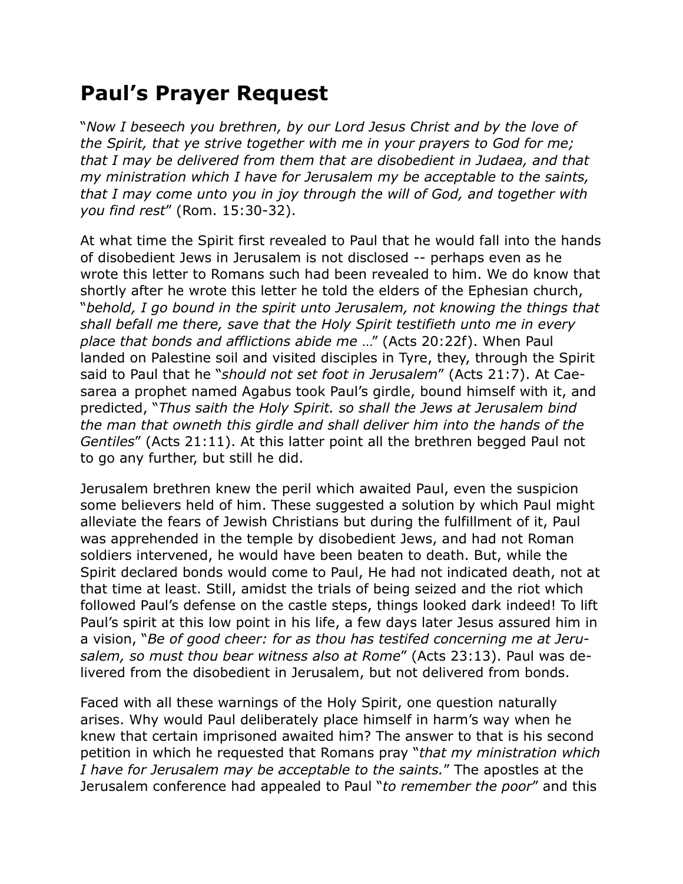## **Paul's Prayer Request**

"*Now I beseech you brethren, by our Lord Jesus Christ and by the love of the Spirit, that ye strive together with me in your prayers to God for me; that I may be delivered from them that are disobedient in Judaea, and that my ministration which I have for Jerusalem my be acceptable to the saints, that I may come unto you in joy through the will of God, and together with you find rest*" (Rom. 15:30-32).

At what time the Spirit first revealed to Paul that he would fall into the hands of disobedient Jews in Jerusalem is not disclosed -- perhaps even as he wrote this letter to Romans such had been revealed to him. We do know that shortly after he wrote this letter he told the elders of the Ephesian church, "*behold, I go bound in the spirit unto Jerusalem, not knowing the things that shall befall me there, save that the Holy Spirit testifieth unto me in every place that bonds and afflictions abide me* …" (Acts 20:22f). When Paul landed on Palestine soil and visited disciples in Tyre, they, through the Spirit said to Paul that he "*should not set foot in Jerusalem*" (Acts 21:7). At Caesarea a prophet named Agabus took Paul's girdle, bound himself with it, and predicted, "*Thus saith the Holy Spirit. so shall the Jews at Jerusalem bind the man that owneth this girdle and shall deliver him into the hands of the Gentiles*" (Acts 21:11). At this latter point all the brethren begged Paul not to go any further, but still he did.

Jerusalem brethren knew the peril which awaited Paul, even the suspicion some believers held of him. These suggested a solution by which Paul might alleviate the fears of Jewish Christians but during the fulfillment of it, Paul was apprehended in the temple by disobedient Jews, and had not Roman soldiers intervened, he would have been beaten to death. But, while the Spirit declared bonds would come to Paul, He had not indicated death, not at that time at least. Still, amidst the trials of being seized and the riot which followed Paul's defense on the castle steps, things looked dark indeed! To lift Paul's spirit at this low point in his life, a few days later Jesus assured him in a vision, "*Be of good cheer: for as thou has testifed concerning me at Jerusalem, so must thou bear witness also at Rome*" (Acts 23:13). Paul was delivered from the disobedient in Jerusalem, but not delivered from bonds.

Faced with all these warnings of the Holy Spirit, one question naturally arises. Why would Paul deliberately place himself in harm's way when he knew that certain imprisoned awaited him? The answer to that is his second petition in which he requested that Romans pray "*that my ministration which I have for Jerusalem may be acceptable to the saints.*" The apostles at the Jerusalem conference had appealed to Paul "*to remember the poor*" and this